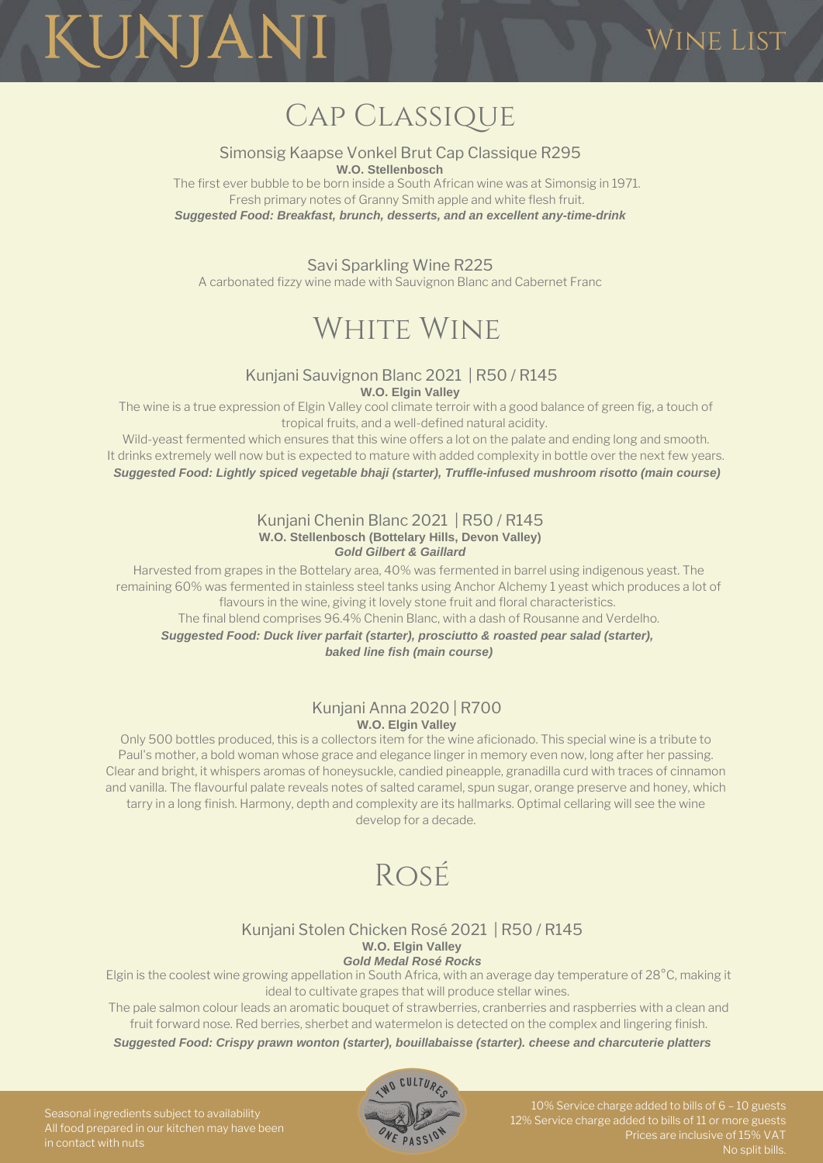

## Cap Classique

UNJANI

#### Simonsig Kaapse Vonkel Brut Cap Classique R295 **W.O. Stellenbosch**

The first ever bubble to be born inside a South African wine was at Simonsig in 1971. Fresh primary notes of Granny Smith apple and white flesh fruit. *Suggested Food: Breakfast, brunch, desserts, and an excellent any-time-drink*

A carbonated fizzy wine made with Sauvignon Blanc and Cabernet Franc Savi Sparkling Wine R225

### WHITE WINE

#### Kunjani Sauvignon Blanc 2021 | R50 / R145 **W.O. Elgin Valley**

The wine is a true expression of Elgin Valley cool climate terroir with a good balance of green fig, a touch of tropical fruits, and a well-defined natural acidity.

Wild-yeast fermented which ensures that this wine offers a lot on the palate and ending long and smooth. It drinks extremely well now but is expected to mature with added complexity in bottle over the next few years. *Suggested Food: Lightly spiced vegetable bhaji (starter), Truffle-infused mushroom risotto (main course)*

#### Kunjani Chenin Blanc 2021 | R50 / R145 **W.O. Stellenbosch (Bottelary Hills, Devon Valley)** *Gold Gilbert & Gaillard*

Harvested from grapes in the Bottelary area, 40% was fermented in barrel using indigenous yeast. The remaining 60% was fermented in stainless steel tanks using Anchor Alchemy 1 yeast which produces a lot of flavours in the wine, giving it lovely stone fruit and floral characteristics.

The final blend comprises 96.4% Chenin Blanc, with a dash of Rousanne and Verdelho. *Suggested Food: Duck liver parfait (starter), prosciutto & roasted pear salad (starter), baked line fish (main course)*

#### Kunjani Anna 2020 | R700 **W.O. Elgin Valley**

Only 500 bottles produced, this is a collectors item for the wine aficionado. This special wine is a tribute to Paul's mother, a bold woman whose grace and elegance linger in memory even now, long after her passing. Clear and bright, it whispers aromas of honeysuckle, candied pineapple, granadilla curd with traces of cinnamon and vanilla. The flavourful palate reveals notes of salted caramel, spun sugar, orange preserve and honey, which tarry in a long finish. Harmony, depth and complexity are its hallmarks. Optimal cellaring will see the wine develop for a decade.

# Rosé

#### Kunjani Stolen Chicken Rosé 2021 | R50 / R145 **W.O. Elgin Valley** *Gold Medal Rosé Rocks*

Elgin is the coolest wine growing appellation in South Africa, with an average day temperature of 28°C, making it ideal to cultivate grapes that will produce stellar wines.

The pale salmon colour leads an aromatic bouquet of strawberries, cranberries and raspberries with a clean and fruit forward nose. Red berries, sherbet and watermelon is detected on the complex and lingering finish.

*Suggested Food: Crispy prawn wonton (starter), bouillabaisse (starter). cheese and charcuterie platters*



Seasonal ingredients subject to availability All food prepared in our kitchen may have been in contact with nuts

10% Service charge added to bills of 6 – 10 guests 12% Service charge added to bills of 11 or more guests